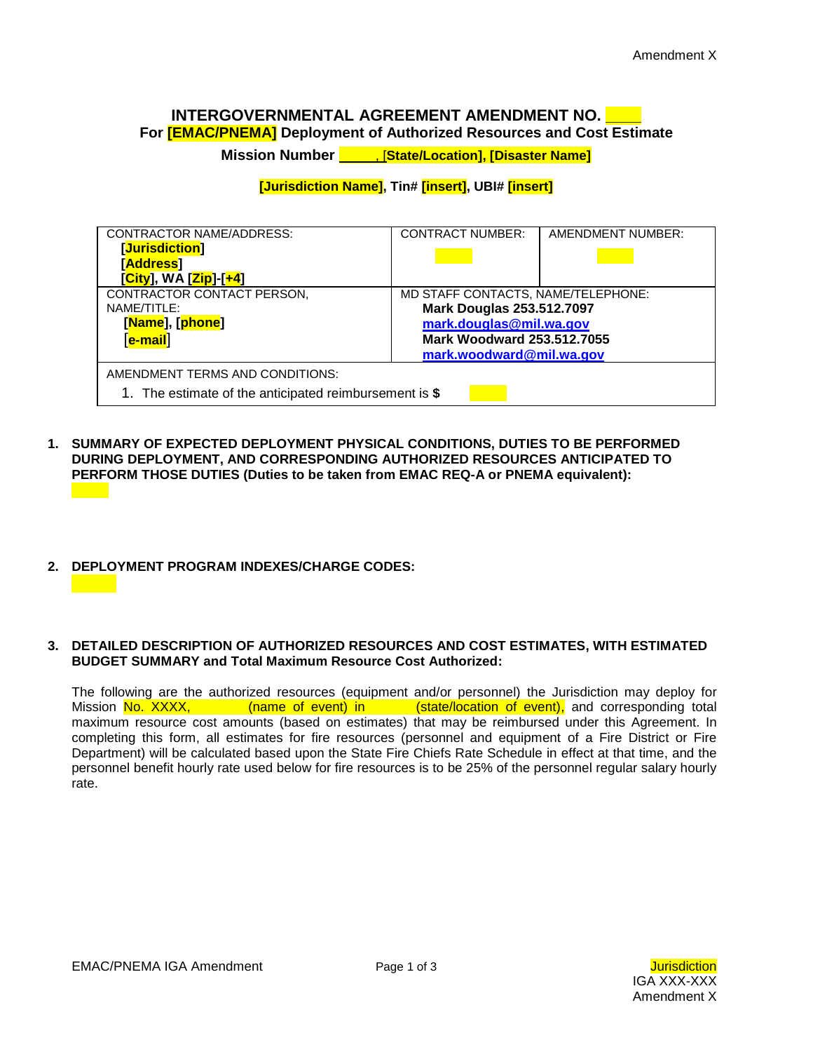# **INTERGOVERNMENTAL AGREEMENT AMENDMENT NO. \_\_\_\_**

**For [EMAC/PNEMA] Deployment of Authorized Resources and Cost Estimate**

**Mission Number** , [**State/Location], [Disaster Name]**

### **[Jurisdiction Name], Tin# [insert], UBI# [insert]**

| <b>CONTRACTOR NAME/ADDRESS:</b>                        | <b>CONTRACT NUMBER:</b>            | AMENDMENT NUMBER: |  |  |  |  |  |
|--------------------------------------------------------|------------------------------------|-------------------|--|--|--|--|--|
| [Jurisdiction]                                         |                                    |                   |  |  |  |  |  |
| [Address]                                              |                                    |                   |  |  |  |  |  |
| [City], WA [Zip]-[+4]                                  |                                    |                   |  |  |  |  |  |
| CONTRACTOR CONTACT PERSON,                             | MD STAFF CONTACTS, NAME/TELEPHONE: |                   |  |  |  |  |  |
| NAME/TITLE:                                            | <b>Mark Douglas 253.512.7097</b>   |                   |  |  |  |  |  |
| [Name], [phone]                                        | mark.douglas@mil.wa.gov            |                   |  |  |  |  |  |
| [ <mark>e-mail</mark> ]                                | <b>Mark Woodward 253.512.7055</b>  |                   |  |  |  |  |  |
|                                                        | mark.woodward@mil.wa.gov           |                   |  |  |  |  |  |
| AMENDMENT TERMS AND CONDITIONS:                        |                                    |                   |  |  |  |  |  |
| 1. The estimate of the anticipated reimbursement is \$ |                                    |                   |  |  |  |  |  |

**1. SUMMARY OF EXPECTED DEPLOYMENT PHYSICAL CONDITIONS, DUTIES TO BE PERFORMED DURING DEPLOYMENT, AND CORRESPONDING AUTHORIZED RESOURCES ANTICIPATED TO PERFORM THOSE DUTIES (Duties to be taken from EMAC REQ-A or PNEMA equivalent):**

### **2. DEPLOYMENT PROGRAM INDEXES/CHARGE CODES:**

#### **3. DETAILED DESCRIPTION OF AUTHORIZED RESOURCES AND COST ESTIMATES, WITH ESTIMATED BUDGET SUMMARY and Total Maximum Resource Cost Authorized:**

The following are the authorized resources (equipment and/or personnel) the Jurisdiction may deploy for Mission No. XXXX, (name of event) in (state/location of event), and corresponding total maximum resource cost amounts (based on estimates) that may be reimbursed under this Agreement. In completing this form, all estimates for fire resources (personnel and equipment of a Fire District or Fire Department) will be calculated based upon the State Fire Chiefs Rate Schedule in effect at that time, and the personnel benefit hourly rate used below for fire resources is to be 25% of the personnel regular salary hourly rate.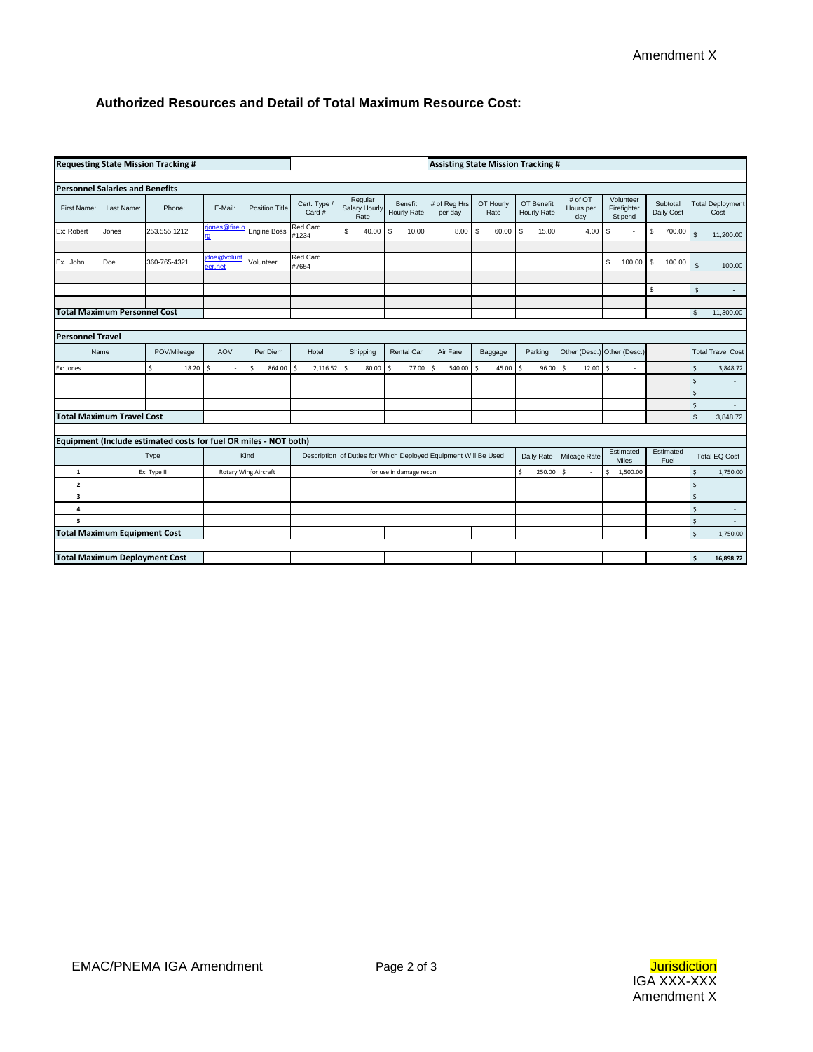## **Authorized Resources and Detail of Total Maximum Resource Cost:**

| <b>Requesting State Mission Tracking #</b>            |                                            |                                                                  |                       | <b>Assisting State Mission Tracking #</b>                       |                               |                                  |                        |                         |                   |                            |                             |                                     |                        |                |                                 |
|-------------------------------------------------------|--------------------------------------------|------------------------------------------------------------------|-----------------------|-----------------------------------------------------------------|-------------------------------|----------------------------------|------------------------|-------------------------|-------------------|----------------------------|-----------------------------|-------------------------------------|------------------------|----------------|---------------------------------|
|                                                       |                                            |                                                                  |                       |                                                                 |                               |                                  |                        |                         |                   |                            |                             |                                     |                        |                |                                 |
| <b>Personnel Salaries and Benefits</b>                |                                            |                                                                  |                       |                                                                 |                               |                                  |                        |                         |                   |                            |                             |                                     |                        |                |                                 |
| First Name:                                           | Last Name:                                 | Phone:                                                           | E-Mail:               | <b>Position Title</b>                                           | Cert. Type /<br>Card #        | Regular<br>Salary Hourly<br>Rate | Benefit<br>Hourly Rate | # of Reg Hrs<br>per day | OT Hourly<br>Rate | OT Benefit<br>Hourly Rate  | # of OT<br>Hours per<br>day | Volunteer<br>Firefighter<br>Stipend | Subtotal<br>Daily Cost |                | <b>Total Deployment</b><br>Cost |
| Ex: Robert                                            | Jones                                      | 253.555.1212                                                     | riones@fire.o         | <b>Engine Boss</b>                                              | Red Card<br>#1234             | \$<br>40.00                      | \$<br>10.00            | $8.00$ \ \ \$           | 60.00             | S<br>15.00                 | 4.00                        | \$<br>$\overline{\phantom{a}}$      | \$<br>700.00           | $\mathsf{\$}$  | 11,200.00                       |
|                                                       |                                            |                                                                  |                       |                                                                 |                               |                                  |                        |                         |                   |                            |                             |                                     |                        |                |                                 |
| Ex. John                                              | Doe                                        | 360-765-4321                                                     | doe@volunt<br>eer.net | Volunteer                                                       | <b>Red Card</b><br>#7654      |                                  |                        |                         |                   |                            |                             | \$<br>100.00                        | S.<br>100.00           | <b>S</b>       | 100.00                          |
|                                                       |                                            |                                                                  |                       |                                                                 |                               |                                  |                        |                         |                   |                            |                             |                                     | \$<br>٠                | $\mathfrak{s}$ | $\sim$                          |
|                                                       |                                            |                                                                  |                       |                                                                 |                               |                                  |                        |                         |                   |                            |                             |                                     |                        |                |                                 |
| <b>Total Maximum Personnel Cost</b>                   |                                            |                                                                  |                       |                                                                 |                               |                                  |                        |                         |                   |                            |                             |                                     |                        | $$\mathbb{S}$$ | 11,300.00                       |
|                                                       |                                            |                                                                  |                       |                                                                 |                               |                                  |                        |                         |                   |                            |                             |                                     |                        |                |                                 |
| <b>Personnel Travel</b>                               |                                            |                                                                  |                       |                                                                 |                               |                                  |                        |                         |                   |                            |                             |                                     |                        |                |                                 |
|                                                       | Name                                       | POV/Mileage                                                      | AOV                   | Per Diem                                                        | Hotel                         | Shipping                         | Rental Car             | Air Fare                | Baggage           | Parking                    | Other (Desc.)               | Other (Desc.)                       |                        |                | <b>Total Travel Cost</b>        |
| Ex: Jones                                             |                                            | \$.<br>18.20                                                     | Ŝ                     | Ŝ.<br>864.00                                                    | $\hat{\varsigma}$<br>2,116.52 | 80.00<br>Ś                       | Ŝ<br>77.00             | \$<br>540.00            | 45.00<br>ς        | 96.00<br>$\hat{\varsigma}$ | Ś<br>12.00                  | Ŝ                                   |                        | \$             | 3,848.72                        |
|                                                       |                                            |                                                                  |                       |                                                                 |                               |                                  |                        |                         |                   |                            |                             |                                     |                        | Ś              | $\overline{\phantom{a}}$        |
|                                                       |                                            |                                                                  |                       |                                                                 |                               |                                  |                        |                         |                   |                            |                             |                                     |                        | $\mathsf{S}$   | $\omega$                        |
|                                                       |                                            |                                                                  |                       |                                                                 |                               |                                  |                        |                         |                   |                            |                             |                                     |                        | Ŝ.             | $\sim$                          |
|                                                       | <b>Total Maximum Travel Cost</b>           |                                                                  |                       |                                                                 |                               |                                  |                        |                         |                   |                            |                             |                                     |                        | $\mathfrak{s}$ | 3,848.72                        |
|                                                       |                                            |                                                                  |                       |                                                                 |                               |                                  |                        |                         |                   |                            |                             |                                     |                        |                |                                 |
|                                                       |                                            | Equipment (Include estimated costs for fuel OR miles - NOT both) |                       |                                                                 |                               |                                  |                        |                         |                   |                            |                             |                                     |                        |                |                                 |
|                                                       | Kind<br>Type                               |                                                                  |                       | Description of Duties for Which Deployed Equipment Will Be Used |                               |                                  |                        | Daily Rate              | Mileage Rate      | Estimated<br>Miles         | Estimated<br>Fuel           |                                     | <b>Total EQ Cost</b>   |                |                                 |
| $\mathbf{1}$                                          | Ex: Type II<br><b>Rotary Wing Aircraft</b> |                                                                  |                       | for use in damage recon                                         |                               |                                  |                        | \$<br>250.00            | Ŝ.                | Ŝ<br>1,500.00              |                             | Ś                                   | 1,750.00               |                |                                 |
|                                                       | $\overline{\mathbf{2}}$                    |                                                                  |                       |                                                                 |                               |                                  |                        |                         |                   |                            | \$                          | $\overline{\phantom{a}}$            |                        |                |                                 |
|                                                       | $\overline{\mathbf{3}}$                    |                                                                  |                       |                                                                 |                               |                                  |                        |                         |                   |                            | $\mathsf{S}$                | $\bar{\phantom{a}}$                 |                        |                |                                 |
| 4                                                     |                                            |                                                                  |                       |                                                                 |                               |                                  |                        |                         |                   |                            |                             | $\sf S$                             | $\sim$                 |                |                                 |
| 5                                                     |                                            |                                                                  |                       |                                                                 |                               |                                  |                        |                         |                   |                            |                             |                                     |                        | $\sf S$        |                                 |
| <b>Total Maximum Equipment Cost</b><br>\$<br>1,750.00 |                                            |                                                                  |                       |                                                                 |                               |                                  |                        |                         |                   |                            |                             |                                     |                        |                |                                 |
|                                                       |                                            |                                                                  |                       |                                                                 |                               |                                  |                        |                         |                   |                            |                             |                                     |                        | \$             | 16,898.72                       |
| <b>Total Maximum Deployment Cost</b>                  |                                            |                                                                  |                       |                                                                 |                               |                                  |                        |                         |                   |                            |                             |                                     |                        |                |                                 |